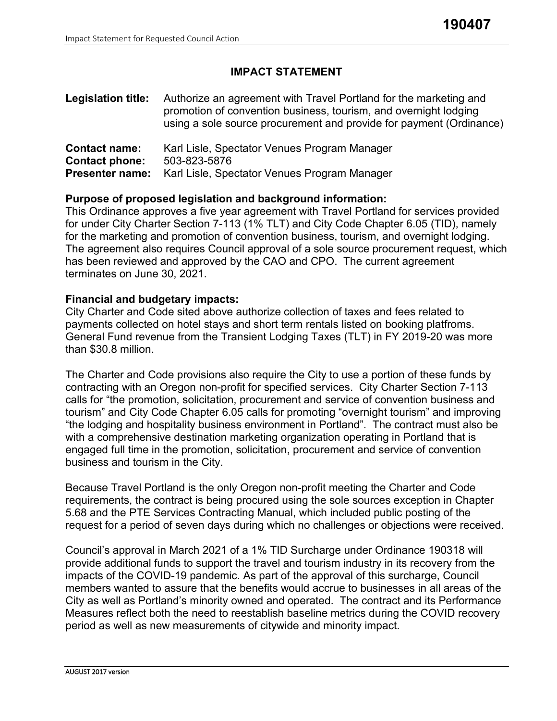# **IMPACT STATEMENT**

| <b>Legislation title:</b> | Authorize an agreement with Travel Portland for the marketing and<br>promotion of convention business, tourism, and overnight lodging<br>using a sole source procurement and provide for payment (Ordinance) |  |  |  |
|---------------------------|--------------------------------------------------------------------------------------------------------------------------------------------------------------------------------------------------------------|--|--|--|
| <b>Contact name:</b>      | Karl Lisle, Spectator Venues Program Manager                                                                                                                                                                 |  |  |  |
| <b>Contact phone:</b>     | 503-823-5876                                                                                                                                                                                                 |  |  |  |
| <b>Presenter name:</b>    | Karl Lisle, Spectator Venues Program Manager                                                                                                                                                                 |  |  |  |

# **Purpose of proposed legislation and background information:**

This Ordinance approves a five year agreement with Travel Portland for services provided for under City Charter Section 7-113 (1% TLT) and City Code Chapter 6.05 (TID), namely for the marketing and promotion of convention business, tourism, and overnight lodging. The agreement also requires Council approval of a sole source procurement request, which has been reviewed and approved by the CAO and CPO. The current agreement terminates on June 30, 2021.

## **Financial and budgetary impacts:**

City Charter and Code sited above authorize collection of taxes and fees related to payments collected on hotel stays and short term rentals listed on booking platfroms. General Fund revenue from the Transient Lodging Taxes (TLT) in FY 2019-20 was more than \$30.8 million.

The Charter and Code provisions also require the City to use a portion of these funds by contracting with an Oregon non-profit for specified services. City Charter Section 7-113 calls for "the promotion, solicitation, procurement and service of convention business and tourism" and City Code Chapter 6.05 calls for promoting "overnight tourism" and improving "the lodging and hospitality business environment in Portland". The contract must also be with a comprehensive destination marketing organization operating in Portland that is engaged full time in the promotion, solicitation, procurement and service of convention business and tourism in the City.

Because Travel Portland is the only Oregon non-profit meeting the Charter and Code requirements, the contract is being procured using the sole sources exception in Chapter 5.68 and the PTE Services Contracting Manual, which included public posting of the request for a period of seven days during which no challenges or objections were received.

Council's approval in March 2021 of a 1% TID Surcharge under Ordinance 190318 will provide additional funds to support the travel and tourism industry in its recovery from the impacts of the COVID-19 pandemic. As part of the approval of this surcharge, Council members wanted to assure that the benefits would accrue to businesses in all areas of the City as well as Portland's minority owned and operated. The contract and its Performance Measures reflect both the need to reestablish baseline metrics during the COVID recovery period as well as new measurements of citywide and minority impact.